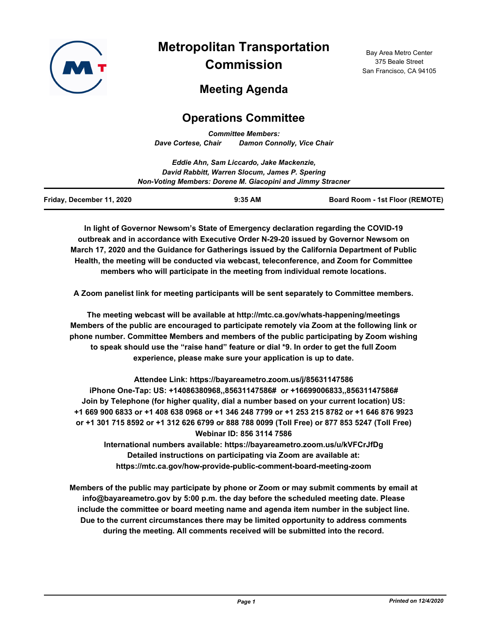

# **Metropolitan Transportation Commission**

Bay Area Metro Center 375 Beale Street San Francisco, CA 94105

# **Meeting Agenda**

# **Operations Committee**

*Committee Members: Dave Cortese, Chair Damon Connolly, Vice Chair*

|                                                            | Eddie Ahn, Sam Liccardo, Jake Mackenzie,       |                                        |  |
|------------------------------------------------------------|------------------------------------------------|----------------------------------------|--|
|                                                            | David Rabbitt, Warren Slocum, James P. Spering |                                        |  |
| Non-Voting Members: Dorene M. Giacopini and Jimmy Stracner |                                                |                                        |  |
| Friday, December 11, 2020                                  | $9:35$ AM                                      | <b>Board Room - 1st Floor (REMOTE)</b> |  |

**In light of Governor Newsom's State of Emergency declaration regarding the COVID-19 outbreak and in accordance with Executive Order N-29-20 issued by Governor Newsom on March 17, 2020 and the Guidance for Gatherings issued by the California Department of Public Health, the meeting will be conducted via webcast, teleconference, and Zoom for Committee members who will participate in the meeting from individual remote locations.**

**A Zoom panelist link for meeting participants will be sent separately to Committee members.**

**The meeting webcast will be available at http://mtc.ca.gov/whats-happening/meetings Members of the public are encouraged to participate remotely via Zoom at the following link or phone number. Committee Members and members of the public participating by Zoom wishing to speak should use the "raise hand" feature or dial \*9. In order to get the full Zoom experience, please make sure your application is up to date.**

**Attendee Link: https://bayareametro.zoom.us/j/85631147586 iPhone One-Tap: US: +14086380968,,85631147586# or +16699006833,,85631147586# Join by Telephone (for higher quality, dial a number based on your current location) US: +1 669 900 6833 or +1 408 638 0968 or +1 346 248 7799 or +1 253 215 8782 or +1 646 876 9923 or +1 301 715 8592 or +1 312 626 6799 or 888 788 0099 (Toll Free) or 877 853 5247 (Toll Free) Webinar ID: 856 3114 7586 International numbers available: https://bayareametro.zoom.us/u/kVFCrJfDg**

**Detailed instructions on participating via Zoom are available at: https://mtc.ca.gov/how-provide-public-comment-board-meeting-zoom**

**Members of the public may participate by phone or Zoom or may submit comments by email at info@bayareametro.gov by 5:00 p.m. the day before the scheduled meeting date. Please include the committee or board meeting name and agenda item number in the subject line. Due to the current circumstances there may be limited opportunity to address comments during the meeting. All comments received will be submitted into the record.**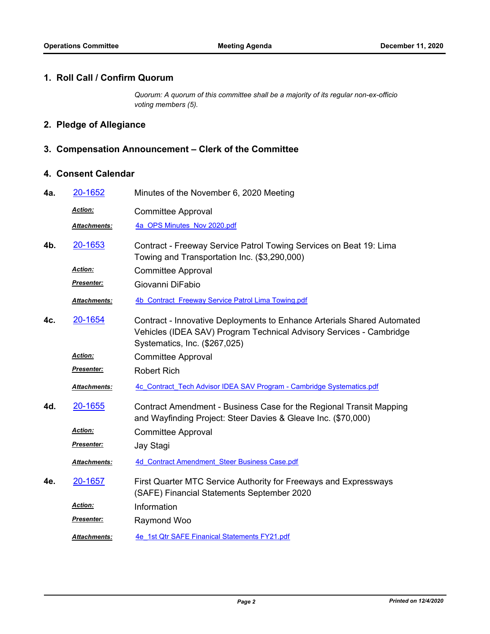#### **1. Roll Call / Confirm Quorum**

*Quorum: A quorum of this committee shall be a majority of its regular non-ex-officio voting members (5).*

## **2. Pledge of Allegiance**

### **3. Compensation Announcement – Clerk of the Committee**

### **4. Consent Calendar**

| 4a. | 20-1652             | Minutes of the November 6, 2020 Meeting                                                                                                                                         |
|-----|---------------------|---------------------------------------------------------------------------------------------------------------------------------------------------------------------------------|
|     | Action:             | <b>Committee Approval</b>                                                                                                                                                       |
|     | <b>Attachments:</b> | 4a OPS Minutes Nov 2020.pdf                                                                                                                                                     |
| 4b. | 20-1653             | Contract - Freeway Service Patrol Towing Services on Beat 19: Lima<br>Towing and Transportation Inc. (\$3,290,000)                                                              |
|     | Action:             | <b>Committee Approval</b>                                                                                                                                                       |
|     | Presenter:          | Giovanni DiFabio                                                                                                                                                                |
|     | Attachments:        | 4b Contract Freeway Service Patrol Lima Towing.pdf                                                                                                                              |
| 4c. | 20-1654             | Contract - Innovative Deployments to Enhance Arterials Shared Automated<br>Vehicles (IDEA SAV) Program Technical Advisory Services - Cambridge<br>Systematics, Inc. (\$267,025) |
|     | <b>Action:</b>      | <b>Committee Approval</b>                                                                                                                                                       |
|     | Presenter:          | <b>Robert Rich</b>                                                                                                                                                              |
|     | Attachments:        | 4c Contract Tech Advisor IDEA SAV Program - Cambridge Systematics.pdf                                                                                                           |
| 4d. | 20-1655             | Contract Amendment - Business Case for the Regional Transit Mapping<br>and Wayfinding Project: Steer Davies & Gleave Inc. (\$70,000)                                            |
|     | Action:             | <b>Committee Approval</b>                                                                                                                                                       |
|     | <u> Presenter:</u>  | Jay Stagi                                                                                                                                                                       |
|     | Attachments:        | 4d Contract Amendment Steer Business Case.pdf                                                                                                                                   |
| 4e. | 20-1657             | First Quarter MTC Service Authority for Freeways and Expressways<br>(SAFE) Financial Statements September 2020                                                                  |
|     | Action:             | Information                                                                                                                                                                     |
|     | <u>Presenter:</u>   | Raymond Woo                                                                                                                                                                     |
|     | Attachments:        | 4e 1st Qtr SAFE Finanical Statements FY21.pdf                                                                                                                                   |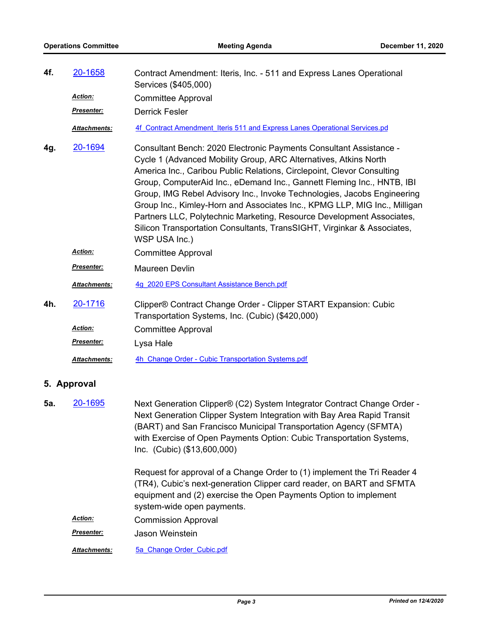| 4f.         | 20-1658             | Contract Amendment: Iteris, Inc. - 511 and Express Lanes Operational<br>Services (\$405,000)                                                                                                                                                                                                                                                                                                                                                                                                                                                                                                                            |  |  |
|-------------|---------------------|-------------------------------------------------------------------------------------------------------------------------------------------------------------------------------------------------------------------------------------------------------------------------------------------------------------------------------------------------------------------------------------------------------------------------------------------------------------------------------------------------------------------------------------------------------------------------------------------------------------------------|--|--|
|             | Action:             | <b>Committee Approval</b>                                                                                                                                                                                                                                                                                                                                                                                                                                                                                                                                                                                               |  |  |
|             | Presenter:          | <b>Derrick Fesler</b>                                                                                                                                                                                                                                                                                                                                                                                                                                                                                                                                                                                                   |  |  |
|             | Attachments:        | 4f Contract Amendment Iteris 511 and Express Lanes Operational Services.pd                                                                                                                                                                                                                                                                                                                                                                                                                                                                                                                                              |  |  |
| 4g.         | 20-1694             | Consultant Bench: 2020 Electronic Payments Consultant Assistance -<br>Cycle 1 (Advanced Mobility Group, ARC Alternatives, Atkins North<br>America Inc., Caribou Public Relations, Circlepoint, Clevor Consulting<br>Group, ComputerAid Inc., eDemand Inc., Gannett Fleming Inc., HNTB, IBI<br>Group, IMG Rebel Advisory Inc., Invoke Technologies, Jacobs Engineering<br>Group Inc., Kimley-Horn and Associates Inc., KPMG LLP, MIG Inc., Milligan<br>Partners LLC, Polytechnic Marketing, Resource Development Associates,<br>Silicon Transportation Consultants, TransSIGHT, Virginkar & Associates,<br>WSP USA Inc.) |  |  |
|             | <b>Action:</b>      | <b>Committee Approval</b>                                                                                                                                                                                                                                                                                                                                                                                                                                                                                                                                                                                               |  |  |
|             | Presenter:          | Maureen Devlin                                                                                                                                                                                                                                                                                                                                                                                                                                                                                                                                                                                                          |  |  |
|             | <b>Attachments:</b> | 4g 2020 EPS Consultant Assistance Bench.pdf                                                                                                                                                                                                                                                                                                                                                                                                                                                                                                                                                                             |  |  |
| 4h.         | 20-1716             | Clipper® Contract Change Order - Clipper START Expansion: Cubic<br>Transportation Systems, Inc. (Cubic) (\$420,000)                                                                                                                                                                                                                                                                                                                                                                                                                                                                                                     |  |  |
|             | Action:             | <b>Committee Approval</b>                                                                                                                                                                                                                                                                                                                                                                                                                                                                                                                                                                                               |  |  |
|             | <u>Presenter:</u>   | Lysa Hale                                                                                                                                                                                                                                                                                                                                                                                                                                                                                                                                                                                                               |  |  |
|             | Attachments:        | 4h Change Order - Cubic Transportation Systems.pdf                                                                                                                                                                                                                                                                                                                                                                                                                                                                                                                                                                      |  |  |
| 5. Approval |                     |                                                                                                                                                                                                                                                                                                                                                                                                                                                                                                                                                                                                                         |  |  |
| 5а.         | 20-1695             | Next Generation Clipper® (C2) System Integrator Contract Change Order -<br>Next Generation Clipper System Integration with Bay Area Rapid Transit<br>(BART) and San Francisco Municipal Transportation Agency (SFMTA)<br>with Exercise of Open Payments Option: Cubic Transportation Systems,<br>Inc. (Cubic) (\$13,600,000)<br>Request for approval of a Change Order to (1) implement the Tri Reader 4                                                                                                                                                                                                                |  |  |
|             |                     | (TR4), Cubic's next-generation Clipper card reader, on BART and SFMTA<br>equipment and (2) exercise the Open Payments Option to implement<br>system-wide open payments.                                                                                                                                                                                                                                                                                                                                                                                                                                                 |  |  |
|             | Action:             | <b>Commission Approval</b>                                                                                                                                                                                                                                                                                                                                                                                                                                                                                                                                                                                              |  |  |
|             | <u>Presenter:</u>   | Jason Weinstein                                                                                                                                                                                                                                                                                                                                                                                                                                                                                                                                                                                                         |  |  |
|             | Attachments:        | 5a Change Order Cubic.pdf                                                                                                                                                                                                                                                                                                                                                                                                                                                                                                                                                                                               |  |  |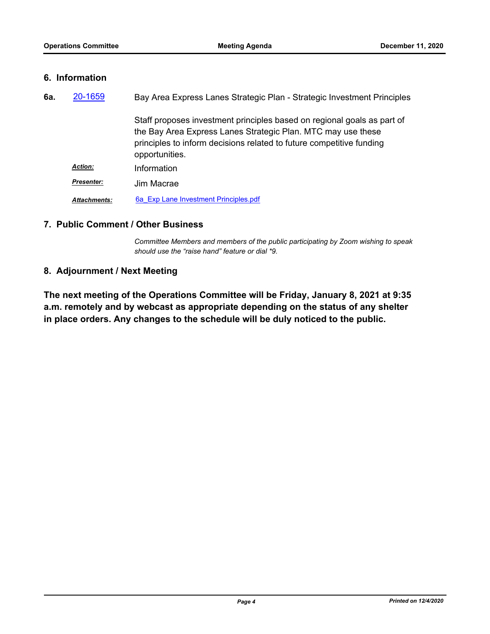#### **6. Information**

| 6а. | 20-1659             | Bay Area Express Lanes Strategic Plan - Strategic Investment Principles                                                                                                                                                           |
|-----|---------------------|-----------------------------------------------------------------------------------------------------------------------------------------------------------------------------------------------------------------------------------|
|     |                     | Staff proposes investment principles based on regional goals as part of<br>the Bay Area Express Lanes Strategic Plan. MTC may use these<br>principles to inform decisions related to future competitive funding<br>opportunities. |
|     | <b>Action:</b>      | Information                                                                                                                                                                                                                       |
|     | <b>Presenter:</b>   | Jim Macrae                                                                                                                                                                                                                        |
|     | <b>Attachments:</b> | 6a Exp Lane Investment Principles.pdf                                                                                                                                                                                             |

### **7. Public Comment / Other Business**

*Committee Members and members of the public participating by Zoom wishing to speak should use the "raise hand" feature or dial \*9.*

#### **8. Adjournment / Next Meeting**

**The next meeting of the Operations Committee will be Friday, January 8, 2021 at 9:35 a.m. remotely and by webcast as appropriate depending on the status of any shelter in place orders. Any changes to the schedule will be duly noticed to the public.**